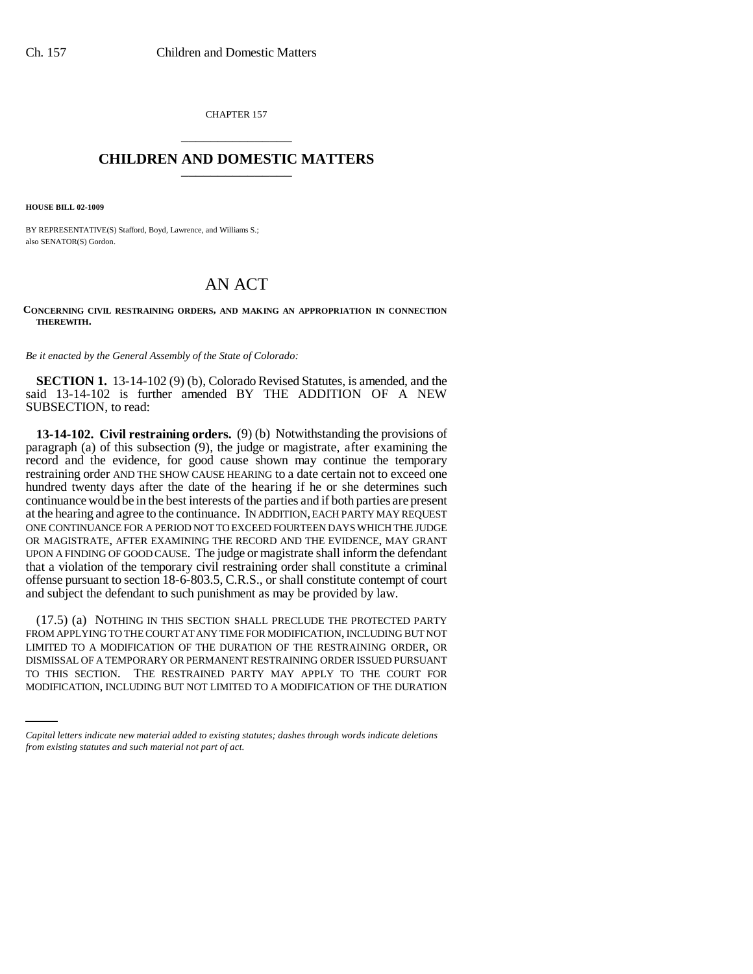CHAPTER 157 \_\_\_\_\_\_\_\_\_\_\_\_\_\_\_

## **CHILDREN AND DOMESTIC MATTERS** \_\_\_\_\_\_\_\_\_\_\_\_\_\_\_

**HOUSE BILL 02-1009**

BY REPRESENTATIVE(S) Stafford, Boyd, Lawrence, and Williams S.; also SENATOR(S) Gordon.

## AN ACT

## **CONCERNING CIVIL RESTRAINING ORDERS, AND MAKING AN APPROPRIATION IN CONNECTION THEREWITH.**

*Be it enacted by the General Assembly of the State of Colorado:*

**SECTION 1.** 13-14-102 (9) (b), Colorado Revised Statutes, is amended, and the said 13-14-102 is further amended BY THE ADDITION OF A NEW SUBSECTION, to read:

**13-14-102. Civil restraining orders.** (9) (b) Notwithstanding the provisions of paragraph (a) of this subsection (9), the judge or magistrate, after examining the record and the evidence, for good cause shown may continue the temporary restraining order AND THE SHOW CAUSE HEARING to a date certain not to exceed one hundred twenty days after the date of the hearing if he or she determines such continuance would be in the best interests of the parties and if both parties are present at the hearing and agree to the continuance. IN ADDITION, EACH PARTY MAY REQUEST ONE CONTINUANCE FOR A PERIOD NOT TO EXCEED FOURTEEN DAYS WHICH THE JUDGE OR MAGISTRATE, AFTER EXAMINING THE RECORD AND THE EVIDENCE, MAY GRANT UPON A FINDING OF GOOD CAUSE. The judge or magistrate shall inform the defendant that a violation of the temporary civil restraining order shall constitute a criminal offense pursuant to section 18-6-803.5, C.R.S., or shall constitute contempt of court and subject the defendant to such punishment as may be provided by law.

DISMISSAL OF A TEMPORARY OR PERMANENT RESTRAINING ORDER ISSUED PURSUANT (17.5) (a) NOTHING IN THIS SECTION SHALL PRECLUDE THE PROTECTED PARTY FROM APPLYING TO THE COURT AT ANY TIME FOR MODIFICATION, INCLUDING BUT NOT LIMITED TO A MODIFICATION OF THE DURATION OF THE RESTRAINING ORDER, OR TO THIS SECTION. THE RESTRAINED PARTY MAY APPLY TO THE COURT FOR MODIFICATION, INCLUDING BUT NOT LIMITED TO A MODIFICATION OF THE DURATION

*Capital letters indicate new material added to existing statutes; dashes through words indicate deletions from existing statutes and such material not part of act.*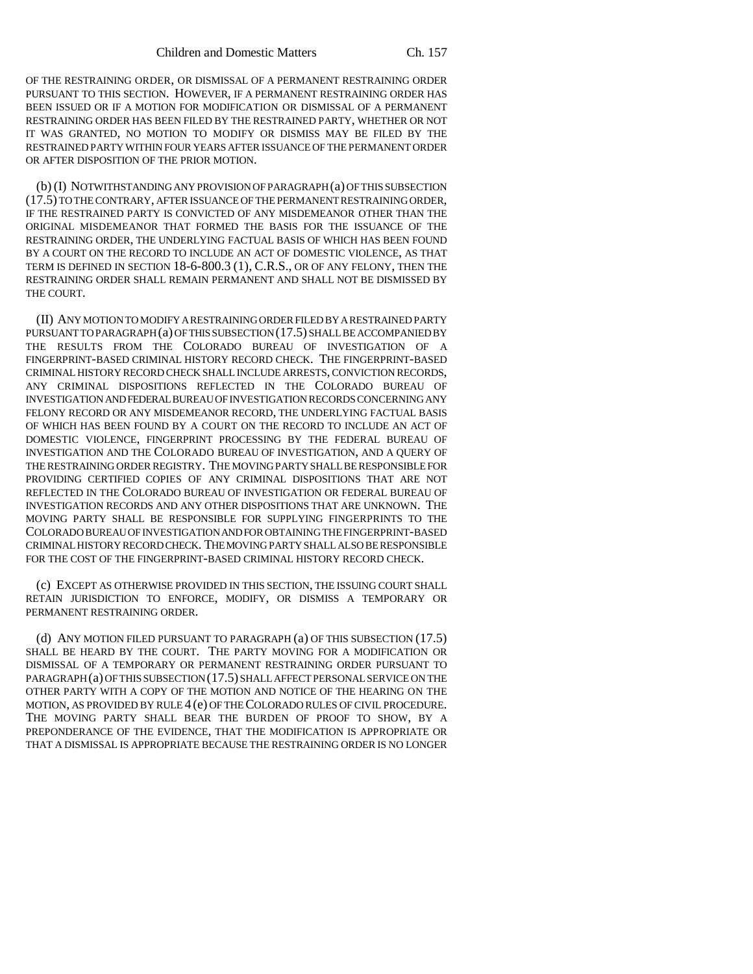OF THE RESTRAINING ORDER, OR DISMISSAL OF A PERMANENT RESTRAINING ORDER PURSUANT TO THIS SECTION. HOWEVER, IF A PERMANENT RESTRAINING ORDER HAS BEEN ISSUED OR IF A MOTION FOR MODIFICATION OR DISMISSAL OF A PERMANENT RESTRAINING ORDER HAS BEEN FILED BY THE RESTRAINED PARTY, WHETHER OR NOT IT WAS GRANTED, NO MOTION TO MODIFY OR DISMISS MAY BE FILED BY THE RESTRAINED PARTY WITHIN FOUR YEARS AFTER ISSUANCE OF THE PERMANENT ORDER OR AFTER DISPOSITION OF THE PRIOR MOTION.

(b) (I) NOTWITHSTANDING ANY PROVISION OF PARAGRAPH (a) OF THIS SUBSECTION (17.5) TO THE CONTRARY, AFTER ISSUANCE OF THE PERMANENT RESTRAINING ORDER, IF THE RESTRAINED PARTY IS CONVICTED OF ANY MISDEMEANOR OTHER THAN THE ORIGINAL MISDEMEANOR THAT FORMED THE BASIS FOR THE ISSUANCE OF THE RESTRAINING ORDER, THE UNDERLYING FACTUAL BASIS OF WHICH HAS BEEN FOUND BY A COURT ON THE RECORD TO INCLUDE AN ACT OF DOMESTIC VIOLENCE, AS THAT TERM IS DEFINED IN SECTION 18-6-800.3 (1), C.R.S., OR OF ANY FELONY, THEN THE RESTRAINING ORDER SHALL REMAIN PERMANENT AND SHALL NOT BE DISMISSED BY THE COURT.

(II) ANY MOTION TO MODIFY A RESTRAINING ORDER FILED BY A RESTRAINED PARTY PURSUANT TO PARAGRAPH (a) OF THIS SUBSECTION (17.5) SHALL BE ACCOMPANIED BY THE RESULTS FROM THE COLORADO BUREAU OF INVESTIGATION OF A FINGERPRINT-BASED CRIMINAL HISTORY RECORD CHECK. THE FINGERPRINT-BASED CRIMINAL HISTORY RECORD CHECK SHALL INCLUDE ARRESTS, CONVICTION RECORDS, ANY CRIMINAL DISPOSITIONS REFLECTED IN THE COLORADO BUREAU OF INVESTIGATION AND FEDERAL BUREAU OF INVESTIGATION RECORDS CONCERNING ANY FELONY RECORD OR ANY MISDEMEANOR RECORD, THE UNDERLYING FACTUAL BASIS OF WHICH HAS BEEN FOUND BY A COURT ON THE RECORD TO INCLUDE AN ACT OF DOMESTIC VIOLENCE, FINGERPRINT PROCESSING BY THE FEDERAL BUREAU OF INVESTIGATION AND THE COLORADO BUREAU OF INVESTIGATION, AND A QUERY OF THE RESTRAINING ORDER REGISTRY. THE MOVING PARTY SHALL BE RESPONSIBLE FOR PROVIDING CERTIFIED COPIES OF ANY CRIMINAL DISPOSITIONS THAT ARE NOT REFLECTED IN THE COLORADO BUREAU OF INVESTIGATION OR FEDERAL BUREAU OF INVESTIGATION RECORDS AND ANY OTHER DISPOSITIONS THAT ARE UNKNOWN. THE MOVING PARTY SHALL BE RESPONSIBLE FOR SUPPLYING FINGERPRINTS TO THE COLORADO BUREAU OF INVESTIGATION AND FOR OBTAINING THE FINGERPRINT-BASED CRIMINAL HISTORY RECORD CHECK. THE MOVING PARTY SHALL ALSO BE RESPONSIBLE FOR THE COST OF THE FINGERPRINT-BASED CRIMINAL HISTORY RECORD CHECK.

(c) EXCEPT AS OTHERWISE PROVIDED IN THIS SECTION, THE ISSUING COURT SHALL RETAIN JURISDICTION TO ENFORCE, MODIFY, OR DISMISS A TEMPORARY OR PERMANENT RESTRAINING ORDER.

(d) ANY MOTION FILED PURSUANT TO PARAGRAPH (a) OF THIS SUBSECTION (17.5) SHALL BE HEARD BY THE COURT. THE PARTY MOVING FOR A MODIFICATION OR DISMISSAL OF A TEMPORARY OR PERMANENT RESTRAINING ORDER PURSUANT TO PARAGRAPH (a) OF THIS SUBSECTION (17.5) SHALL AFFECT PERSONAL SERVICE ON THE OTHER PARTY WITH A COPY OF THE MOTION AND NOTICE OF THE HEARING ON THE MOTION, AS PROVIDED BY RULE 4 (e) OF THE COLORADO RULES OF CIVIL PROCEDURE. THE MOVING PARTY SHALL BEAR THE BURDEN OF PROOF TO SHOW, BY A PREPONDERANCE OF THE EVIDENCE, THAT THE MODIFICATION IS APPROPRIATE OR THAT A DISMISSAL IS APPROPRIATE BECAUSE THE RESTRAINING ORDER IS NO LONGER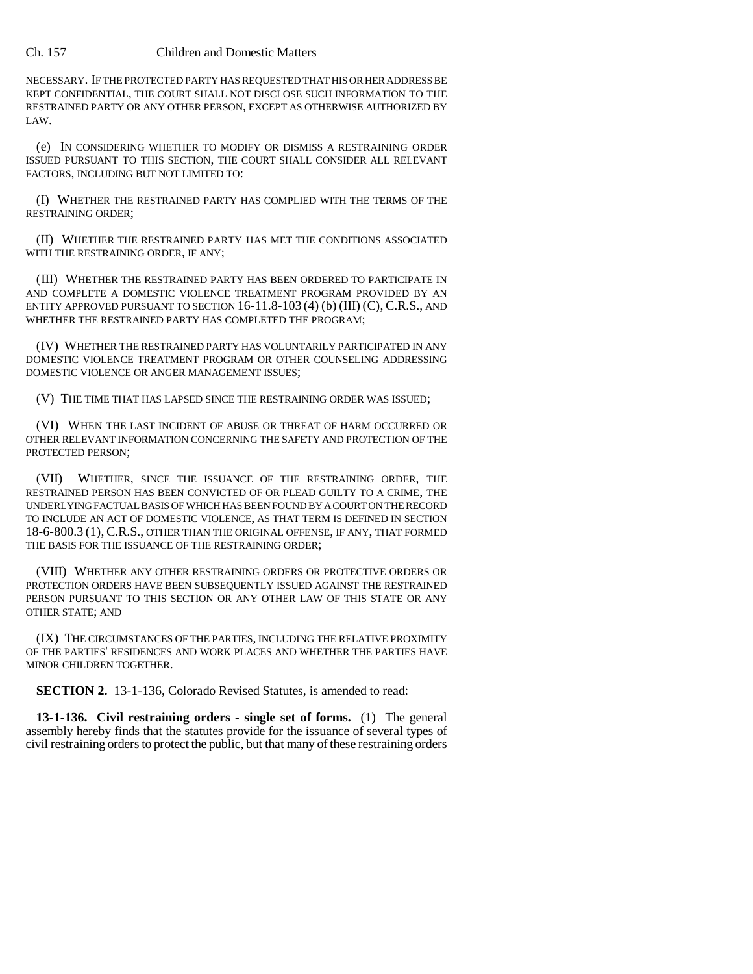## Ch. 157 Children and Domestic Matters

NECESSARY. IF THE PROTECTED PARTY HAS REQUESTED THAT HIS OR HER ADDRESS BE KEPT CONFIDENTIAL, THE COURT SHALL NOT DISCLOSE SUCH INFORMATION TO THE RESTRAINED PARTY OR ANY OTHER PERSON, EXCEPT AS OTHERWISE AUTHORIZED BY LAW.

(e) IN CONSIDERING WHETHER TO MODIFY OR DISMISS A RESTRAINING ORDER ISSUED PURSUANT TO THIS SECTION, THE COURT SHALL CONSIDER ALL RELEVANT FACTORS, INCLUDING BUT NOT LIMITED TO:

(I) WHETHER THE RESTRAINED PARTY HAS COMPLIED WITH THE TERMS OF THE RESTRAINING ORDER;

(II) WHETHER THE RESTRAINED PARTY HAS MET THE CONDITIONS ASSOCIATED WITH THE RESTRAINING ORDER, IF ANY;

(III) WHETHER THE RESTRAINED PARTY HAS BEEN ORDERED TO PARTICIPATE IN AND COMPLETE A DOMESTIC VIOLENCE TREATMENT PROGRAM PROVIDED BY AN ENTITY APPROVED PURSUANT TO SECTION 16-11.8-103 (4) (b) (III) (C), C.R.S., AND WHETHER THE RESTRAINED PARTY HAS COMPLETED THE PROGRAM;

(IV) WHETHER THE RESTRAINED PARTY HAS VOLUNTARILY PARTICIPATED IN ANY DOMESTIC VIOLENCE TREATMENT PROGRAM OR OTHER COUNSELING ADDRESSING DOMESTIC VIOLENCE OR ANGER MANAGEMENT ISSUES;

(V) THE TIME THAT HAS LAPSED SINCE THE RESTRAINING ORDER WAS ISSUED;

(VI) WHEN THE LAST INCIDENT OF ABUSE OR THREAT OF HARM OCCURRED OR OTHER RELEVANT INFORMATION CONCERNING THE SAFETY AND PROTECTION OF THE PROTECTED PERSON;

(VII) WHETHER, SINCE THE ISSUANCE OF THE RESTRAINING ORDER, THE RESTRAINED PERSON HAS BEEN CONVICTED OF OR PLEAD GUILTY TO A CRIME, THE UNDERLYING FACTUAL BASIS OF WHICH HAS BEEN FOUND BY A COURT ON THE RECORD TO INCLUDE AN ACT OF DOMESTIC VIOLENCE, AS THAT TERM IS DEFINED IN SECTION 18-6-800.3 (1), C.R.S., OTHER THAN THE ORIGINAL OFFENSE, IF ANY, THAT FORMED THE BASIS FOR THE ISSUANCE OF THE RESTRAINING ORDER;

(VIII) WHETHER ANY OTHER RESTRAINING ORDERS OR PROTECTIVE ORDERS OR PROTECTION ORDERS HAVE BEEN SUBSEQUENTLY ISSUED AGAINST THE RESTRAINED PERSON PURSUANT TO THIS SECTION OR ANY OTHER LAW OF THIS STATE OR ANY OTHER STATE; AND

(IX) THE CIRCUMSTANCES OF THE PARTIES, INCLUDING THE RELATIVE PROXIMITY OF THE PARTIES' RESIDENCES AND WORK PLACES AND WHETHER THE PARTIES HAVE MINOR CHILDREN TOGETHER.

**SECTION 2.** 13-1-136, Colorado Revised Statutes, is amended to read:

**13-1-136. Civil restraining orders - single set of forms.** (1) The general assembly hereby finds that the statutes provide for the issuance of several types of civil restraining orders to protect the public, but that many of these restraining orders